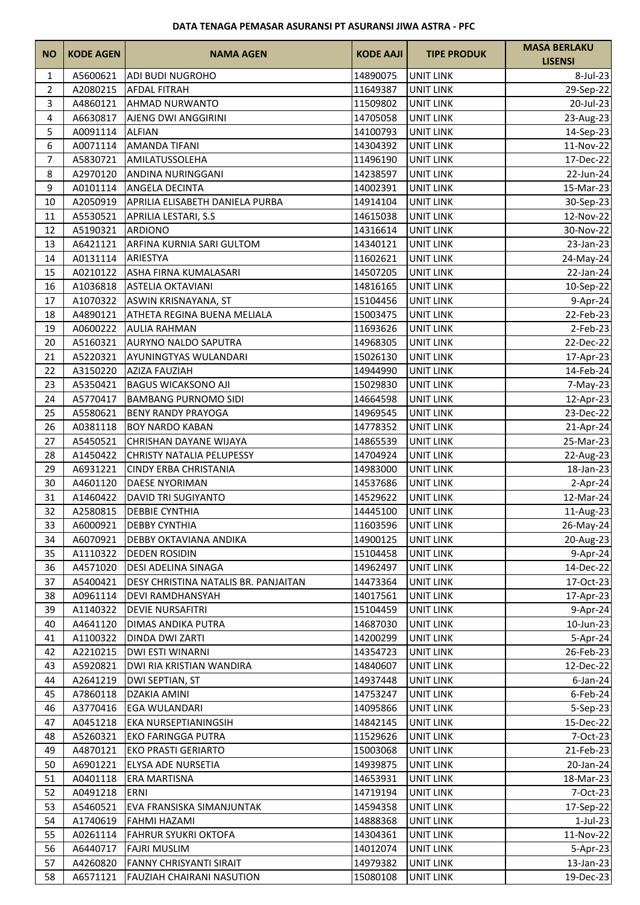| <b>NO</b>      | <b>KODE AGEN</b> | <b>NAMA AGEN</b>                     | <b>KODE AAJI</b>   | <b>TIPE PRODUK</b> | <b>MASA BERLAKU</b><br><b>LISENSI</b> |
|----------------|------------------|--------------------------------------|--------------------|--------------------|---------------------------------------|
| 1              | A5600621         | <b>ADI BUDI NUGROHO</b>              | 14890075           | <b>UNIT LINK</b>   | 8-Jul-23                              |
| $\overline{2}$ | A2080215         | <b>AFDAL FITRAH</b>                  | 11649387           | <b>UNIT LINK</b>   | 29-Sep-22                             |
| 3              | A4860121         | <b>AHMAD NURWANTO</b>                | 11509802           | <b>UNIT LINK</b>   | 20-Jul-23                             |
| 4              | A6630817         | <b>AJENG DWI ANGGIRINI</b>           | 14705058           | <b>UNIT LINK</b>   | 23-Aug-23                             |
| 5              | A0091114         | <b>ALFIAN</b>                        | 14100793           | <b>UNIT LINK</b>   | 14-Sep-23                             |
| 6              | A0071114         | <b>AMANDA TIFANI</b>                 | 14304392           | <b>UNIT LINK</b>   | 11-Nov-22                             |
| $\overline{7}$ | A5830721         | AMILATUSSOLEHA                       | 11496190           | UNIT LINK          | 17-Dec-22                             |
| 8              | A2970120         | ANDINA NURINGGANI                    | 14238597           | <b>UNIT LINK</b>   | 22-Jun-24                             |
| 9              | A0101114         | <b>ANGELA DECINTA</b>                | 14002391           | <b>UNIT LINK</b>   | 15-Mar-23                             |
| 10             | A2050919         | APRILIA ELISABETH DANIELA PURBA      | 14914104           | <b>UNIT LINK</b>   | 30-Sep-23                             |
| 11             | A5530521         | APRILIA LESTARI, S.S                 | 14615038           | <b>UNIT LINK</b>   | 12-Nov-22                             |
| 12             | A5190321         | <b>ARDIONO</b>                       | 14316614           | <b>UNIT LINK</b>   | 30-Nov-22                             |
| 13             | A6421121         | ARFINA KURNIA SARI GULTOM            | 14340121           | <b>UNIT LINK</b>   | 23-Jan-23                             |
| 14             | A0131114         | ARIESTYA                             | 11602621           | <b>UNIT LINK</b>   | 24-May-24                             |
| 15             | A0210122         | ASHA FIRNA KUMALASARI                | 14507205           | <b>UNIT LINK</b>   | 22-Jan-24                             |
| 16             | A1036818         | <b>ASTELIA OKTAVIANI</b>             | 14816165           | <b>UNIT LINK</b>   | 10-Sep-22                             |
| 17             | A1070322         | ASWIN KRISNAYANA, ST                 | 15104456           | <b>UNIT LINK</b>   | 9-Apr-24                              |
| 18             | A4890121         | ATHETA REGINA BUENA MELIALA          | 15003475           | <b>UNIT LINK</b>   | 22-Feb-23                             |
| 19             | A0600222         | <b>AULIA RAHMAN</b>                  | 11693626           | <b>UNIT LINK</b>   | 2-Feb-23                              |
| 20             | A5160321         | <b>AURYNO NALDO SAPUTRA</b>          | 14968305           | <b>UNIT LINK</b>   | 22-Dec-22                             |
| 21             | A5220321         | AYUNINGTYAS WULANDARI                | 15026130           | <b>UNIT LINK</b>   | 17-Apr-23                             |
| 22             | A3150220         | <b>AZIZA FAUZIAH</b>                 | 14944990           | <b>UNIT LINK</b>   | 14-Feb-24                             |
| 23             | A5350421         | <b>BAGUS WICAKSONO AJI</b>           | 15029830           | <b>UNIT LINK</b>   | 7-May-23                              |
| 24             | A5770417         | <b>BAMBANG PURNOMO SIDI</b>          | 14664598           | <b>UNIT LINK</b>   | 12-Apr-23                             |
| 25             | A5580621         | <b>BENY RANDY PRAYOGA</b>            | 14969545           | <b>UNIT LINK</b>   | 23-Dec-22                             |
| 26             | A0381118         | <b>BOY NARDO KABAN</b>               | 14778352           | <b>UNIT LINK</b>   | 21-Apr-24                             |
| 27             | A5450521         | CHRISHAN DAYANE WIJAYA               | 14865539           | <b>UNIT LINK</b>   | 25-Mar-23                             |
| 28             | A1450422         | <b>CHRISTY NATALIA PELUPESSY</b>     | 14704924           | <b>UNIT LINK</b>   | 22-Aug-23                             |
| 29             | A6931221         | <b>CINDY ERBA CHRISTANIA</b>         | 14983000           | <b>UNIT LINK</b>   | 18-Jan-23                             |
| 30             | A4601120         | <b>DAESE NYORIMAN</b>                | 14537686           | <b>UNIT LINK</b>   | $2-Apr-24$                            |
| 31             | A1460422         | <b>DAVID TRI SUGIYANTO</b>           | 14529622           | <b>UNIT LINK</b>   | 12-Mar-24                             |
| 32             | A2580815         | <b>DEBBIE CYNTHIA</b>                | 14445100           | <b>UNIT LINK</b>   | 11-Aug-23                             |
| 33             |                  | A6000921 DEBBY CYNTHIA               | 11603596 UNIT LINK |                    | 26-May-24                             |
| 34             | A6070921         | DEBBY OKTAVIANA ANDIKA               | 14900125           | <b>UNIT LINK</b>   | 20-Aug-23                             |
| 35             | A1110322         | <b>DEDEN ROSIDIN</b>                 | 15104458           | <b>UNIT LINK</b>   | 9-Apr-24                              |
| 36             | A4571020         | <b>DESI ADELINA SINAGA</b>           | 14962497           | <b>UNIT LINK</b>   | 14-Dec-22                             |
| 37             | A5400421         | DESY CHRISTINA NATALIS BR. PANJAITAN | 14473364           | <b>UNIT LINK</b>   | 17-Oct-23                             |
| 38             | A0961114         | <b>DEVI RAMDHANSYAH</b>              | 14017561           | <b>UNIT LINK</b>   | 17-Apr-23                             |
| 39             | A1140322         | <b>DEVIE NURSAFITRI</b>              | 15104459           | <b>UNIT LINK</b>   | 9-Apr-24                              |
| 40             | A4641120         | <b>DIMAS ANDIKA PUTRA</b>            | 14687030           | <b>UNIT LINK</b>   | 10-Jun-23                             |
| 41             | A1100322         | <b>DINDA DWI ZARTI</b>               | 14200299           | <b>UNIT LINK</b>   | 5-Apr-24                              |
| 42             | A2210215         | <b>DWI ESTI WINARNI</b>              | 14354723           | <b>UNIT LINK</b>   | 26-Feb-23                             |
| 43             | A5920821         | DWI RIA KRISTIAN WANDIRA             | 14840607           | <b>UNIT LINK</b>   | 12-Dec-22                             |
| 44             | A2641219         | DWI SEPTIAN, ST                      | 14937448           | <b>UNIT LINK</b>   | $6$ -Jan-24                           |
| 45             | A7860118         | DZAKIA AMINI                         | 14753247           | UNIT LINK          | $6$ -Feb-24                           |
| 46             | A3770416         | <b>EGA WULANDARI</b>                 | 14095866           | <b>UNIT LINK</b>   | $5-Sep-23$                            |
| 47             | A0451218         | <b>EKA NURSEPTIANINGSIH</b>          | 14842145           | <b>UNIT LINK</b>   | 15-Dec-22                             |
| 48             | A5260321         | <b>EKO FARINGGA PUTRA</b>            | 11529626           | <b>UNIT LINK</b>   | 7-Oct-23                              |
| 49             | A4870121         | <b>EKO PRASTI GERIARTO</b>           | 15003068           | UNIT LINK          | 21-Feb-23                             |
| 50             | A6901221         | <b>ELYSA ADE NURSETIA</b>            | 14939875           | <b>UNIT LINK</b>   | 20-Jan-24                             |
| 51             | A0401118         | <b>ERA MARTISNA</b>                  | 14653931           | <b>UNIT LINK</b>   | 18-Mar-23                             |
| 52             | A0491218         | <b>ERNI</b>                          | 14719194           | <b>UNIT LINK</b>   | 7-Oct-23                              |
| 53             | A5460521         | EVA FRANSISKA SIMANJUNTAK            | 14594358           | <b>UNIT LINK</b>   | 17-Sep-22                             |
| 54             | A1740619         | <b>FAHMI HAZAMI</b>                  | 14888368           | UNIT LINK          | $1$ -Jul-23                           |
| 55             | A0261114         | <b>FAHRUR SYUKRI OKTOFA</b>          | 14304361           | <b>UNIT LINK</b>   | 11-Nov-22                             |
| 56             | A6440717         | <b>FAJRI MUSLIM</b>                  | 14012074           | <b>UNIT LINK</b>   | $5 - Apr - 23$                        |
| 57             | A4260820         | <b>FANNY CHRISYANTI SIRAIT</b>       | 14979382           | <b>UNIT LINK</b>   | 13-Jan-23                             |
| 58             | A6571121         | <b>FAUZIAH CHAIRANI NASUTION</b>     | 15080108           | <b>UNIT LINK</b>   | 19-Dec-23                             |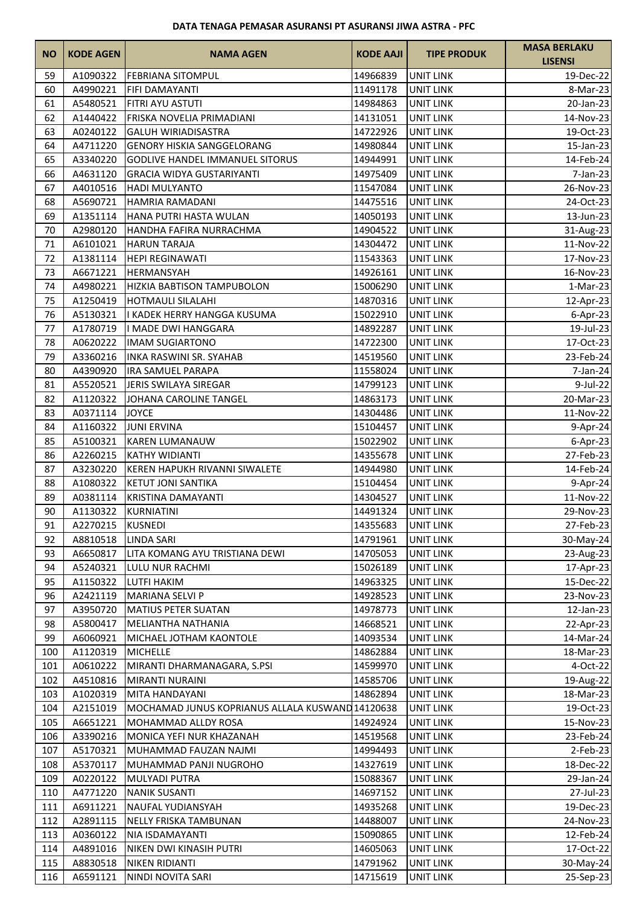| <b>NO</b> | <b>KODE AGEN</b> | <b>NAMA AGEN</b>                                 | <b>KODE AAJI</b>   | <b>TIPE PRODUK</b> | <b>MASA BERLAKU</b><br><b>LISENSI</b> |
|-----------|------------------|--------------------------------------------------|--------------------|--------------------|---------------------------------------|
| 59        | A1090322         | <b>FEBRIANA SITOMPUL</b>                         | 14966839           | <b>UNIT LINK</b>   | 19-Dec-22                             |
| 60        | A4990221         | <b>FIFI DAMAYANTI</b>                            | 11491178           | <b>UNIT LINK</b>   | 8-Mar-23                              |
| 61        | A5480521         | FITRI AYU ASTUTI                                 | 14984863           | <b>UNIT LINK</b>   | 20-Jan-23                             |
| 62        | A1440422         | FRISKA NOVELIA PRIMADIANI                        | 14131051           | <b>UNIT LINK</b>   | 14-Nov-23                             |
| 63        | A0240122         | <b>GALUH WIRIADISASTRA</b>                       | 14722926           | <b>UNIT LINK</b>   | 19-Oct-23                             |
| 64        | A4711220         | <b>GENORY HISKIA SANGGELORANG</b>                | 14980844           | <b>UNIT LINK</b>   | 15-Jan-23                             |
| 65        | A3340220         | <b>GODLIVE HANDEL IMMANUEL SITORUS</b>           | 14944991           | <b>UNIT LINK</b>   | 14-Feb-24                             |
| 66        | A4631120         | <b>GRACIA WIDYA GUSTARIYANTI</b>                 | 14975409           | <b>UNIT LINK</b>   | $7$ -Jan-23                           |
| 67        | A4010516         | HADI MULYANTO                                    | 11547084           | <b>UNIT LINK</b>   | 26-Nov-23                             |
| 68        | A5690721         | <b>HAMRIA RAMADANI</b>                           | 14475516           | <b>UNIT LINK</b>   | 24-Oct-23                             |
| 69        | A1351114         | HANA PUTRI HASTA WULAN                           | 14050193           | <b>UNIT LINK</b>   | 13-Jun-23                             |
| 70        | A2980120         | HANDHA FAFIRA NURRACHMA                          | 14904522           | <b>UNIT LINK</b>   | 31-Aug-23                             |
| 71        | A6101021         | <b>HARUN TARAJA</b>                              | 14304472           | <b>UNIT LINK</b>   | 11-Nov-22                             |
| 72        | A1381114         | <b>HEPI REGINAWATI</b>                           | 11543363           | <b>UNIT LINK</b>   | 17-Nov-23                             |
| 73        | A6671221         | <b>HERMANSYAH</b>                                | 14926161           | <b>UNIT LINK</b>   | 16-Nov-23                             |
| 74        | A4980221         | <b>HIZKIA BABTISON TAMPUBOLON</b>                | 15006290           | <b>UNIT LINK</b>   | $1-Mar-23$                            |
| 75        | A1250419         | <b>HOTMAULI SILALAHI</b>                         | 14870316           | <b>UNIT LINK</b>   | 12-Apr-23                             |
| 76        | A5130321         | I KADEK HERRY HANGGA KUSUMA                      | 15022910           | <b>UNIT LINK</b>   | $6$ -Apr-23                           |
| 77        | A1780719         | I MADE DWI HANGGARA                              | 14892287           | <b>UNIT LINK</b>   | 19-Jul-23                             |
| 78        | A0620222         | <b>IMAM SUGIARTONO</b>                           | 14722300           | <b>UNIT LINK</b>   | 17-Oct-23                             |
| 79        | A3360216         | <b>INKA RASWINI SR. SYAHAB</b>                   | 14519560           | <b>UNIT LINK</b>   | 23-Feb-24                             |
| 80        | A4390920         | <b>IRA SAMUEL PARAPA</b>                         | 11558024           | <b>UNIT LINK</b>   | $7$ -Jan-24                           |
| 81        | A5520521         | JERIS SWILAYA SIREGAR                            | 14799123           | <b>UNIT LINK</b>   | 9-Jul-22                              |
| 82        | A1120322         | JOHANA CAROLINE TANGEL                           | 14863173           | UNIT LINK          | 20-Mar-23                             |
| 83        | A0371114         | <b>JOYCE</b>                                     | 14304486           | <b>UNIT LINK</b>   | 11-Nov-22                             |
| 84        | A1160322         | <b>JUNI ERVINA</b>                               | 15104457           | <b>UNIT LINK</b>   | 9-Apr-24                              |
| 85        | A5100321         | <b>KAREN LUMANAUW</b>                            | 15022902           | <b>UNIT LINK</b>   | $6$ -Apr-23                           |
| 86        | A2260215         | <b>KATHY WIDIANTI</b>                            | 14355678           | <b>UNIT LINK</b>   | 27-Feb-23                             |
| 87        | A3230220         | KEREN HAPUKH RIVANNI SIWALETE                    | 14944980           | UNIT LINK          | 14-Feb-24                             |
| 88        | A1080322         | <b>KETUT JONI SANTIKA</b>                        | 15104454           | <b>UNIT LINK</b>   | 9-Apr-24                              |
| 89        | A0381114         | <b>KRISTINA DAMAYANTI</b>                        | 14304527           | <b>UNIT LINK</b>   | 11-Nov-22                             |
| 90        | A1130322         | KURNIATINI                                       | 14491324           | <b>UNIT LINK</b>   | 29-Nov-23                             |
| 91        | A2270215 KUSNEDI |                                                  | 14355683 UNIT LINK |                    | 27-Feb-23                             |
| 92        | A8810518         | <b>LINDA SARI</b>                                | 14791961           | <b>UNIT LINK</b>   | 30-May-24                             |
| 93        | A6650817         | LITA KOMANG AYU TRISTIANA DEWI                   | 14705053           | UNIT LINK          | 23-Aug-23                             |
| 94        | A5240321         | LULU NUR RACHMI                                  | 15026189           | <b>UNIT LINK</b>   | 17-Apr-23                             |
| 95        | A1150322         | <b>LUTFI HAKIM</b>                               | 14963325           | <b>UNIT LINK</b>   | 15-Dec-22                             |
| 96        | A2421119         | <b>MARIANA SELVI P</b>                           | 14928523           | <b>UNIT LINK</b>   | 23-Nov-23                             |
| 97        | A3950720         | MATIUS PETER SUATAN                              | 14978773           | <b>UNIT LINK</b>   | 12-Jan-23                             |
| 98        | A5800417         | MELIANTHA NATHANIA                               | 14668521           | <b>UNIT LINK</b>   | 22-Apr-23                             |
| 99        | A6060921         | MICHAEL JOTHAM KAONTOLE                          | 14093534           | <b>UNIT LINK</b>   | 14-Mar-24                             |
| 100       | A1120319         | <b>MICHELLE</b>                                  | 14862884           | <b>UNIT LINK</b>   | 18-Mar-23                             |
| 101       | A0610222         | MIRANTI DHARMANAGARA, S.PSI                      | 14599970           | <b>UNIT LINK</b>   | 4-Oct-22                              |
| 102       | A4510816         | <b>MIRANTI NURAINI</b>                           | 14585706           | <b>UNIT LINK</b>   | 19-Aug-22                             |
| 103       | A1020319         | MITA HANDAYANI                                   | 14862894           | <b>UNIT LINK</b>   | 18-Mar-23                             |
| 104       | A2151019         | MOCHAMAD JUNUS KOPRIANUS ALLALA KUSWAND 14120638 |                    | UNIT LINK          | 19-Oct-23                             |
| 105       | A6651221         | MOHAMMAD ALLDY ROSA                              | 14924924           | <b>UNIT LINK</b>   | 15-Nov-23                             |
| 106       | A3390216         | MONICA YEFI NUR KHAZANAH                         | 14519568           | <b>UNIT LINK</b>   | 23-Feb-24                             |
| 107       | A5170321         | MUHAMMAD FAUZAN NAJMI                            | 14994493           | UNIT LINK          | $2$ -Feb-23                           |
| 108       | A5370117         | MUHAMMAD PANJI NUGROHO                           | 14327619           | <b>UNIT LINK</b>   | 18-Dec-22                             |
| 109       | A0220122         | <b>MULYADI PUTRA</b>                             | 15088367           | <b>UNIT LINK</b>   | 29-Jan-24                             |
| 110       | A4771220         | <b>NANIK SUSANTI</b>                             | 14697152           | <b>UNIT LINK</b>   | 27-Jul-23                             |
| 111       | A6911221         | <b>NAUFAL YUDIANSYAH</b>                         | 14935268           | <b>UNIT LINK</b>   | 19-Dec-23                             |
| 112       | A2891115         | NELLY FRISKA TAMBUNAN                            | 14488007           | <b>UNIT LINK</b>   | 24-Nov-23                             |
| 113       | A0360122         | NIA ISDAMAYANTI                                  | 15090865           | <b>UNIT LINK</b>   | 12-Feb-24                             |
| 114       | A4891016         | <b>NIKEN DWI KINASIH PUTRI</b>                   | 14605063           | <b>UNIT LINK</b>   | 17-Oct-22                             |
| 115       | A8830518         | <b>NIKEN RIDIANTI</b>                            | 14791962           | <b>UNIT LINK</b>   | 30-May-24                             |
| 116       | A6591121         | NINDI NOVITA SARI                                | 14715619           | <b>UNIT LINK</b>   | 25-Sep-23                             |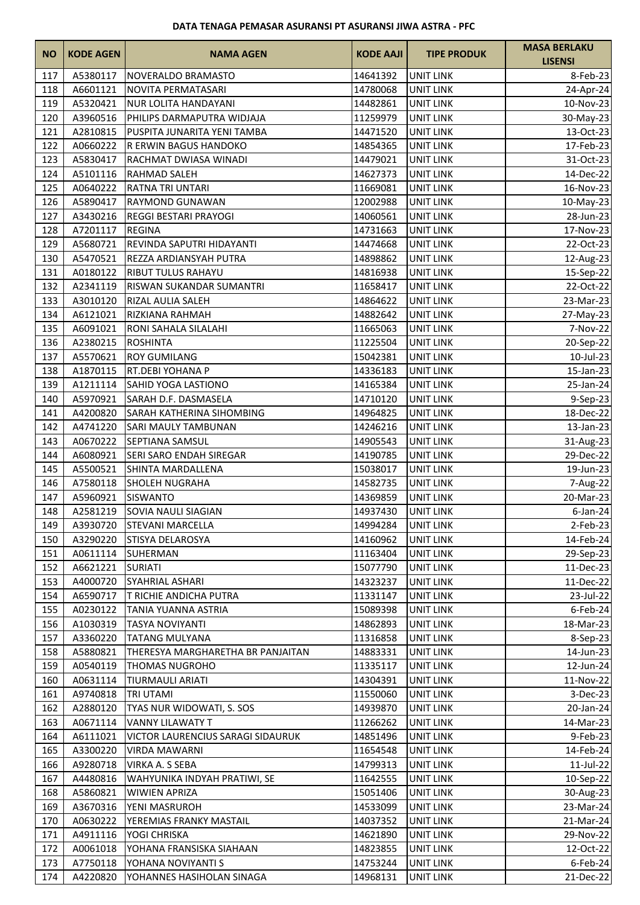| <b>NO</b> | <b>KODE AGEN</b> | <b>NAMA AGEN</b>                  | <b>KODE AAJI</b>   | <b>TIPE PRODUK</b> | <b>MASA BERLAKU</b><br><b>LISENSI</b> |
|-----------|------------------|-----------------------------------|--------------------|--------------------|---------------------------------------|
| 117       | A5380117         | NOVERALDO BRAMASTO                | 14641392           | <b>UNIT LINK</b>   | 8-Feb-23                              |
| 118       | A6601121         | NOVITA PERMATASARI                | 14780068           | <b>UNIT LINK</b>   | 24-Apr-24                             |
| 119       | A5320421         | <b>NUR LOLITA HANDAYANI</b>       | 14482861           | <b>UNIT LINK</b>   | 10-Nov-23                             |
| 120       | A3960516         | PHILIPS DARMAPUTRA WIDJAJA        | 11259979           | <b>UNIT LINK</b>   | 30-May-23                             |
| 121       | A2810815         | PUSPITA JUNARITA YENI TAMBA       | 14471520           | <b>UNIT LINK</b>   | 13-Oct-23                             |
| 122       | A0660222         | R ERWIN BAGUS HANDOKO             | 14854365           | <b>UNIT LINK</b>   | 17-Feb-23                             |
| 123       | A5830417         | RACHMAT DWIASA WINADI             | 14479021           | <b>UNIT LINK</b>   | 31-Oct-23                             |
| 124       | A5101116         | <b>RAHMAD SALEH</b>               | 14627373           | <b>UNIT LINK</b>   | 14-Dec-22                             |
| 125       | A0640222         | RATNA TRI UNTARI                  | 11669081           | <b>UNIT LINK</b>   | 16-Nov-23                             |
| 126       | A5890417         | <b>RAYMOND GUNAWAN</b>            | 12002988           | <b>UNIT LINK</b>   | 10-May-23                             |
| 127       | A3430216         | <b>REGGI BESTARI PRAYOGI</b>      | 14060561           | <b>UNIT LINK</b>   | 28-Jun-23                             |
| 128       | A7201117         | <b>REGINA</b>                     | 14731663           | UNIT LINK          | 17-Nov-23                             |
| 129       | A5680721         | REVINDA SAPUTRI HIDAYANTI         | 14474668           | <b>UNIT LINK</b>   | 22-Oct-23                             |
| 130       | A5470521         | REZZA ARDIANSYAH PUTRA            | 14898862           | <b>UNIT LINK</b>   | 12-Aug-23                             |
| 131       | A0180122         | <b>RIBUT TULUS RAHAYU</b>         | 14816938           | <b>UNIT LINK</b>   | 15-Sep-22                             |
| 132       | A2341119         | RISWAN SUKANDAR SUMANTRI          | 11658417           | <b>UNIT LINK</b>   | 22-Oct-22                             |
| 133       | A3010120         | RIZAL AULIA SALEH                 | 14864622           | <b>UNIT LINK</b>   | 23-Mar-23                             |
| 134       | A6121021         | <b>RIZKIANA RAHMAH</b>            | 14882642           | <b>UNIT LINK</b>   | 27-May-23                             |
| 135       | A6091021         | RONI SAHALA SILALAHI              | 11665063           | <b>UNIT LINK</b>   | 7-Nov-22                              |
| 136       | A2380215         | <b>ROSHINTA</b>                   | 11225504           | <b>UNIT LINK</b>   | 20-Sep-22                             |
| 137       | A5570621         | <b>ROY GUMILANG</b>               | 15042381           | <b>UNIT LINK</b>   | 10-Jul-23                             |
| 138       | A1870115         | RT.DEBI YOHANA P                  | 14336183           | <b>UNIT LINK</b>   | 15-Jan-23                             |
| 139       | A1211114         | SAHID YOGA LASTIONO               | 14165384           | <b>UNIT LINK</b>   | 25-Jan-24                             |
| 140       | A5970921         | SARAH D.F. DASMASELA              | 14710120           | <b>UNIT LINK</b>   | 9-Sep-23                              |
| 141       | A4200820         | SARAH KATHERINA SIHOMBING         | 14964825           | <b>UNIT LINK</b>   | 18-Dec-22                             |
| 142       | A4741220         | SARI MAULY TAMBUNAN               | 14246216           | <b>UNIT LINK</b>   | 13-Jan-23                             |
| 143       | A0670222         | SEPTIANA SAMSUL                   | 14905543           | <b>UNIT LINK</b>   | 31-Aug-23                             |
| 144       | A6080921         | SERI SARO ENDAH SIREGAR           | 14190785           | <b>UNIT LINK</b>   | 29-Dec-22                             |
| 145       | A5500521         | SHINTA MARDALLENA                 | 15038017           | UNIT LINK          | 19-Jun-23                             |
| 146       | A7580118         | SHOLEH NUGRAHA                    | 14582735           | <b>UNIT LINK</b>   | 7-Aug-22                              |
| 147       | A5960921         | <b>SISWANTO</b>                   | 14369859           | <b>UNIT LINK</b>   | 20-Mar-23                             |
| 148       | A2581219         | <b>SOVIA NAULI SIAGIAN</b>        | 14937430           | <b>UNIT LINK</b>   | $6$ -Jan-24                           |
| 149       | A3930720         | <b>STEVANI MARCELLA</b>           | 14994284 UNIT LINK |                    | 2-Feb-23                              |
| 150       | A3290220         | STISYA DELAROSYA                  | 14160962           | UNIT LINK          | 14-Feb-24                             |
| 151       | A0611114         | SUHERMAN                          | 11163404           | <b>UNIT LINK</b>   | 29-Sep-23                             |
| 152       | A6621221         | <b>SURIATI</b>                    | 15077790           | <b>UNIT LINK</b>   | 11-Dec-23                             |
| 153       | A4000720         | SYAHRIAL ASHARI                   | 14323237           | <b>UNIT LINK</b>   | 11-Dec-22                             |
| 154       | A6590717         | T RICHIE ANDICHA PUTRA            | 11331147           | <b>UNIT LINK</b>   | 23-Jul-22                             |
| 155       | A0230122         | <b>TANIA YUANNA ASTRIA</b>        | 15089398           | <b>UNIT LINK</b>   | $6$ -Feb-24                           |
| 156       | A1030319         | <b>TASYA NOVIYANTI</b>            | 14862893           | <b>UNIT LINK</b>   | 18-Mar-23                             |
| 157       | A3360220         | <b>TATANG MULYANA</b>             | 11316858           | <b>UNIT LINK</b>   | 8-Sep-23                              |
| 158       | A5880821         | THERESYA MARGHARETHA BR PANJAITAN | 14883331           | <b>UNIT LINK</b>   | 14-Jun-23                             |
| 159       | A0540119         | <b>THOMAS NUGROHO</b>             | 11335117           | <b>UNIT LINK</b>   | 12-Jun-24                             |
| 160       | A0631114         | <b>TIURMAULI ARIATI</b>           | 14304391           | <b>UNIT LINK</b>   | 11-Nov-22                             |
| 161       | A9740818         | <b>TRI UTAMI</b>                  | 11550060           | UNIT LINK          | $3-Dec-23$                            |
| 162       | A2880120         | TYAS NUR WIDOWATI, S. SOS         | 14939870           | <b>UNIT LINK</b>   | 20-Jan-24                             |
| 163       | A0671114         | <b>VANNY LILAWATY T</b>           | 11266262           | <b>UNIT LINK</b>   | 14-Mar-23                             |
| 164       | A6111021         | VICTOR LAURENCIUS SARAGI SIDAURUK | 14851496           | <b>UNIT LINK</b>   | 9-Feb-23                              |
| 165       | A3300220         | <b>VIRDA MAWARNI</b>              | 11654548           | <b>UNIT LINK</b>   | 14-Feb-24                             |
| 166       | A9280718         | VIRKA A. S SEBA                   | 14799313           | <b>UNIT LINK</b>   | $11$ -Jul-22                          |
| 167       | A4480816         | WAHYUNIKA INDYAH PRATIWI, SE      | 11642555           | UNIT LINK          | 10-Sep-22                             |
| 168       | A5860821         | <b>WIWIEN APRIZA</b>              | 15051406           | <b>UNIT LINK</b>   | 30-Aug-23                             |
| 169       | A3670316         | YENI MASRUROH                     | 14533099           | <b>UNIT LINK</b>   | 23-Mar-24                             |
| 170       | A0630222         | YEREMIAS FRANKY MASTAIL           | 14037352           | <b>UNIT LINK</b>   | 21-Mar-24                             |
| 171       | A4911116         | YOGI CHRISKA                      | 14621890           | <b>UNIT LINK</b>   | 29-Nov-22                             |
| 172       | A0061018         | YOHANA FRANSISKA SIAHAAN          | 14823855           | <b>UNIT LINK</b>   | 12-Oct-22                             |
| 173       | A7750118         | YOHANA NOVIYANTI S                | 14753244           | <b>UNIT LINK</b>   | $6$ -Feb-24                           |
| 174       | A4220820         | YOHANNES HASIHOLAN SINAGA         | 14968131           | <b>UNIT LINK</b>   | 21-Dec-22                             |